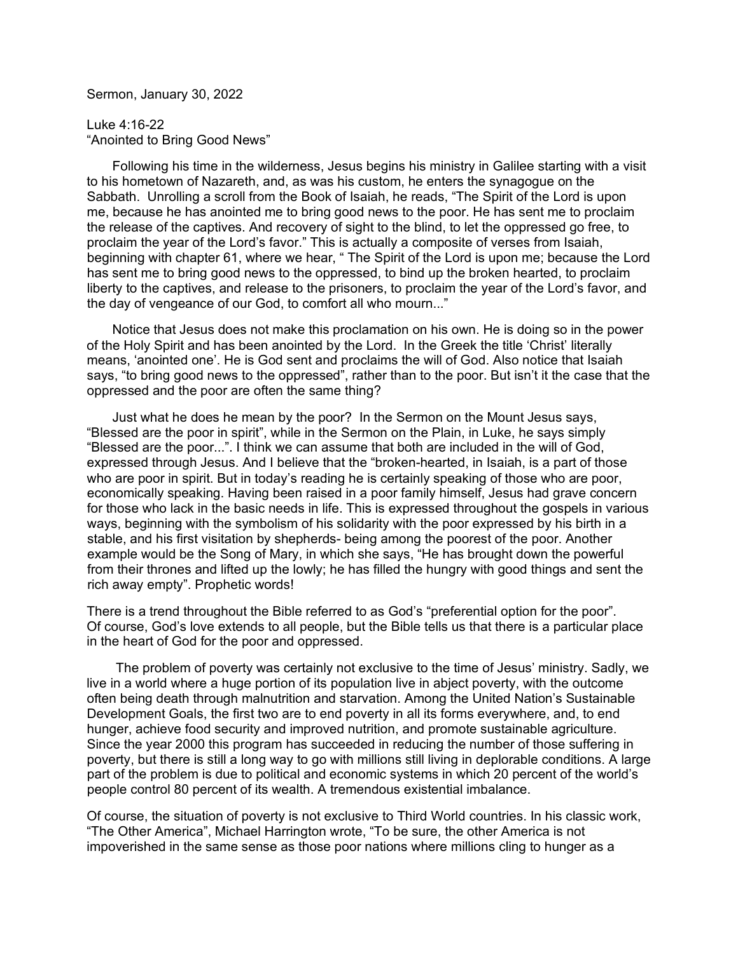Sermon, January 30, 2022

Luke 4:16-22 "Anointed to Bring Good News"

 Following his time in the wilderness, Jesus begins his ministry in Galilee starting with a visit to his hometown of Nazareth, and, as was his custom, he enters the synagogue on the Sabbath. Unrolling a scroll from the Book of Isaiah, he reads, "The Spirit of the Lord is upon me, because he has anointed me to bring good news to the poor. He has sent me to proclaim the release of the captives. And recovery of sight to the blind, to let the oppressed go free, to proclaim the year of the Lord's favor." This is actually a composite of verses from Isaiah, beginning with chapter 61, where we hear, " The Spirit of the Lord is upon me; because the Lord has sent me to bring good news to the oppressed, to bind up the broken hearted, to proclaim liberty to the captives, and release to the prisoners, to proclaim the year of the Lord's favor, and the day of vengeance of our God, to comfort all who mourn..."

 Notice that Jesus does not make this proclamation on his own. He is doing so in the power of the Holy Spirit and has been anointed by the Lord. In the Greek the title 'Christ' literally means, 'anointed one'. He is God sent and proclaims the will of God. Also notice that Isaiah says, "to bring good news to the oppressed", rather than to the poor. But isn't it the case that the oppressed and the poor are often the same thing?

 Just what he does he mean by the poor? In the Sermon on the Mount Jesus says, "Blessed are the poor in spirit", while in the Sermon on the Plain, in Luke, he says simply "Blessed are the poor...". I think we can assume that both are included in the will of God, expressed through Jesus. And I believe that the "broken-hearted, in Isaiah, is a part of those who are poor in spirit. But in today's reading he is certainly speaking of those who are poor, economically speaking. Having been raised in a poor family himself, Jesus had grave concern for those who lack in the basic needs in life. This is expressed throughout the gospels in various ways, beginning with the symbolism of his solidarity with the poor expressed by his birth in a stable, and his first visitation by shepherds- being among the poorest of the poor. Another example would be the Song of Mary, in which she says, "He has brought down the powerful from their thrones and lifted up the lowly; he has filled the hungry with good things and sent the rich away empty". Prophetic words!

There is a trend throughout the Bible referred to as God's "preferential option for the poor". Of course, God's love extends to all people, but the Bible tells us that there is a particular place in the heart of God for the poor and oppressed.

 The problem of poverty was certainly not exclusive to the time of Jesus' ministry. Sadly, we live in a world where a huge portion of its population live in abject poverty, with the outcome often being death through malnutrition and starvation. Among the United Nation's Sustainable Development Goals, the first two are to end poverty in all its forms everywhere, and, to end hunger, achieve food security and improved nutrition, and promote sustainable agriculture. Since the year 2000 this program has succeeded in reducing the number of those suffering in poverty, but there is still a long way to go with millions still living in deplorable conditions. A large part of the problem is due to political and economic systems in which 20 percent of the world's people control <sup>80</sup> percent of its wealth. <sup>A</sup> tremendous existential imbalance.

Of course, the situation of poverty is not exclusive to Third World countries. In his classic work, "The Other America", Michael Harrington wrote, "To be sure, the other America is not impoverished in the same sense as those poor nations where millions cling to hunger as a